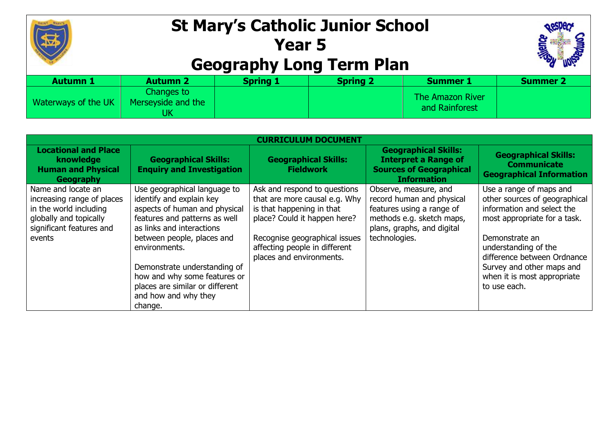

## **St Mary's Catholic Junior School Year 5 Geography Long Term Plan**



| <b>Autumn 1</b>     | <b>Autumn 2</b>                  | <b>Spring 1</b> | <b>Spring 2</b> | <b>Summer 1</b>                    | <b>Summer 2</b> |
|---------------------|----------------------------------|-----------------|-----------------|------------------------------------|-----------------|
| Waterways of the UK | Changes to<br>Merseyside and the |                 |                 | The Amazon River<br>and Rainforest |                 |

| <b>CURRICULUM DOCUMENT</b>                                                                                                                 |                                                                                                                                                                                                                                                                                                                                              |                                                                                                                                                                                                                          |                                                                                                                                                             |                                                                                                                                                                                                                                                                             |  |
|--------------------------------------------------------------------------------------------------------------------------------------------|----------------------------------------------------------------------------------------------------------------------------------------------------------------------------------------------------------------------------------------------------------------------------------------------------------------------------------------------|--------------------------------------------------------------------------------------------------------------------------------------------------------------------------------------------------------------------------|-------------------------------------------------------------------------------------------------------------------------------------------------------------|-----------------------------------------------------------------------------------------------------------------------------------------------------------------------------------------------------------------------------------------------------------------------------|--|
| <b>Locational and Place</b><br>knowledge<br><b>Human and Physical</b><br>Geography                                                         | <b>Geographical Skills:</b><br><b>Enquiry and Investigation</b>                                                                                                                                                                                                                                                                              | <b>Geographical Skills:</b><br><b>Fieldwork</b>                                                                                                                                                                          | <b>Geographical Skills:</b><br><b>Interpret a Range of</b><br><b>Sources of Geographical</b><br><b>Information</b>                                          | <b>Geographical Skills:</b><br><b>Communicate</b><br><b>Geographical Information</b>                                                                                                                                                                                        |  |
| Name and locate an<br>increasing range of places<br>in the world including<br>globally and topically<br>significant features and<br>events | Use geographical language to<br>identify and explain key<br>aspects of human and physical<br>features and patterns as well<br>as links and interactions<br>between people, places and<br>environments.<br>Demonstrate understanding of<br>how and why some features or<br>places are similar or different<br>and how and why they<br>change. | Ask and respond to questions<br>that are more causal e.g. Why<br>is that happening in that<br>place? Could it happen here?<br>Recognise geographical issues<br>affecting people in different<br>places and environments. | Observe, measure, and<br>record human and physical<br>features using a range of<br>methods e.g. sketch maps,<br>plans, graphs, and digital<br>technologies. | Use a range of maps and<br>other sources of geographical<br>information and select the<br>most appropriate for a task.<br>Demonstrate an<br>understanding of the<br>difference between Ordnance<br>Survey and other maps and<br>when it is most appropriate<br>to use each. |  |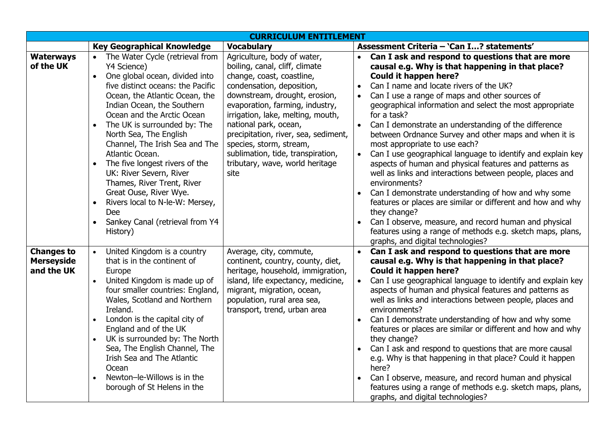| <b>CURRICULUM ENTITLEMENT</b>                        |                                                                                                                                                                                                                                                                                                                                                                                                                                                                                                                                                                                                      |                                                                                                                                                                                                                                                                                                                                                                                                              |                                                                                                                                                                                                                                                                                                                                                                                                                                                                                                                                                                                                                                                                                                                                                                                                                                                                                                                                                 |  |  |
|------------------------------------------------------|------------------------------------------------------------------------------------------------------------------------------------------------------------------------------------------------------------------------------------------------------------------------------------------------------------------------------------------------------------------------------------------------------------------------------------------------------------------------------------------------------------------------------------------------------------------------------------------------------|--------------------------------------------------------------------------------------------------------------------------------------------------------------------------------------------------------------------------------------------------------------------------------------------------------------------------------------------------------------------------------------------------------------|-------------------------------------------------------------------------------------------------------------------------------------------------------------------------------------------------------------------------------------------------------------------------------------------------------------------------------------------------------------------------------------------------------------------------------------------------------------------------------------------------------------------------------------------------------------------------------------------------------------------------------------------------------------------------------------------------------------------------------------------------------------------------------------------------------------------------------------------------------------------------------------------------------------------------------------------------|--|--|
|                                                      | <b>Key Geographical Knowledge</b>                                                                                                                                                                                                                                                                                                                                                                                                                                                                                                                                                                    | <b>Vocabulary</b>                                                                                                                                                                                                                                                                                                                                                                                            | Assessment Criteria - 'Can I? statements'                                                                                                                                                                                                                                                                                                                                                                                                                                                                                                                                                                                                                                                                                                                                                                                                                                                                                                       |  |  |
| <b>Waterways</b><br>of the UK                        | The Water Cycle (retrieval from<br>$\bullet$<br>Y4 Science)<br>One global ocean, divided into<br>$\bullet$<br>five distinct oceans: the Pacific<br>Ocean, the Atlantic Ocean, the<br>Indian Ocean, the Southern<br>Ocean and the Arctic Ocean<br>The UK is surrounded by: The<br>North Sea, The English<br>Channel, The Irish Sea and The<br>Atlantic Ocean.<br>The five longest rivers of the<br>UK: River Severn, River<br>Thames, River Trent, River<br>Great Ouse, River Wye.<br>Rivers local to N-le-W: Mersey,<br>$\bullet$<br>Dee<br>Sankey Canal (retrieval from Y4<br>$\bullet$<br>History) | Agriculture, body of water,<br>boiling, canal, cliff, climate<br>change, coast, coastline,<br>condensation, deposition,<br>downstream, drought, erosion,<br>evaporation, farming, industry,<br>irrigation, lake, melting, mouth,<br>national park, ocean,<br>precipitation, river, sea, sediment,<br>species, storm, stream,<br>sublimation, tide, transpiration,<br>tributary, wave, world heritage<br>site | Can I ask and respond to questions that are more<br>causal e.g. Why is that happening in that place?<br><b>Could it happen here?</b><br>Can I name and locate rivers of the UK?<br>$\bullet$<br>Can I use a range of maps and other sources of<br>geographical information and select the most appropriate<br>for a task?<br>Can I demonstrate an understanding of the difference<br>between Ordnance Survey and other maps and when it is<br>most appropriate to use each?<br>Can I use geographical language to identify and explain key<br>aspects of human and physical features and patterns as<br>well as links and interactions between people, places and<br>environments?<br>Can I demonstrate understanding of how and why some<br>features or places are similar or different and how and why<br>they change?<br>Can I observe, measure, and record human and physical<br>features using a range of methods e.g. sketch maps, plans, |  |  |
| <b>Changes to</b><br><b>Merseyside</b><br>and the UK | United Kingdom is a country<br>that is in the continent of<br>Europe<br>United Kingdom is made up of<br>$\bullet$<br>four smaller countries: England,<br>Wales, Scotland and Northern<br>Ireland.<br>London is the capital city of<br>England and of the UK<br>UK is surrounded by: The North<br>$\bullet$<br>Sea, The English Channel, The<br>Irish Sea and The Atlantic<br>Ocean<br>Newton-le-Willows is in the<br>borough of St Helens in the                                                                                                                                                     | Average, city, commute,<br>continent, country, county, diet,<br>heritage, household, immigration,<br>island, life expectancy, medicine,<br>migrant, migration, ocean,<br>population, rural area sea,<br>transport, trend, urban area                                                                                                                                                                         | graphs, and digital technologies?<br>Can I ask and respond to questions that are more<br>causal e.g. Why is that happening in that place?<br><b>Could it happen here?</b><br>Can I use geographical language to identify and explain key<br>$\bullet$<br>aspects of human and physical features and patterns as<br>well as links and interactions between people, places and<br>environments?<br>Can I demonstrate understanding of how and why some<br>features or places are similar or different and how and why<br>they change?<br>Can I ask and respond to questions that are more causal<br>e.g. Why is that happening in that place? Could it happen<br>here?<br>Can I observe, measure, and record human and physical<br>features using a range of methods e.g. sketch maps, plans,<br>graphs, and digital technologies?                                                                                                                |  |  |